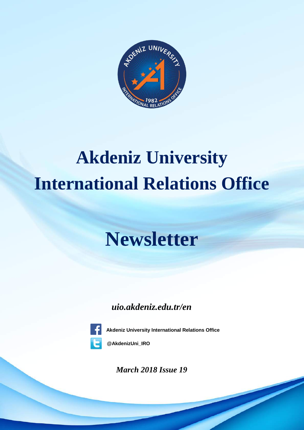

# **Akdeniz University International Relations Office**

## **Newsletter**

## *uio.akdeniz.edu.tr/en*



**Akdeniz University International Relations Office**

**@AkdenizUni\_IRO**

*March 2018 Issue 19*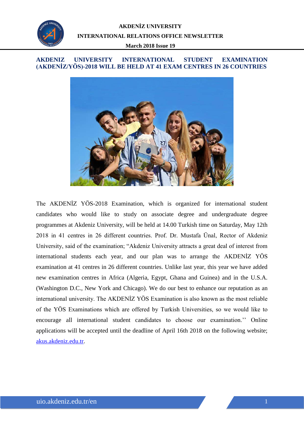

#### *TARİH* **(AKDENİZ/YÖS)-2018 WILL BE HELD AT 41 EXAM CENTRES IN 26 COUNTRIES AKDENIZ UNIVERSITY INTERNATIONAL STUDENT EXAMINATION**



The AKDENİZ YÖS-2018 Examination, which is organized for international student candidates who would like to study on associate degree and undergraduate degree programmes at Akdeniz University, will be held at 14.00 Turkish time on Saturday, May 12th 2018 in 41 centres in 26 different countries. Prof. Dr. Mustafa Ünal, Rector of Akdeniz University, said of the examination; "Akdeniz University attracts a great deal of interest from international students each year, and our plan was to arrange the AKDENİZ YÖS examination at 41 centres in 26 different countries. Unlike last year, this year we have added new examination centres in Africa (Algeria, Egypt, Ghana and Guinea) and in the U.S.A. (Washington D.C., New York and Chicago). We do our best to enhance our reputation as an international university. The AKDENİZ YÖS Examination is also known as the most reliable of the YÖS Examinations which are offered by Turkish Universities, so we would like to encourage all international student candidates to choose our examination.'' Online applications will be accepted until the deadline of April 16th 2018 on the following website; [akus.akdeniz.edu.tr.](https://bys.akdeniz.edu.tr/akus/?lang=en)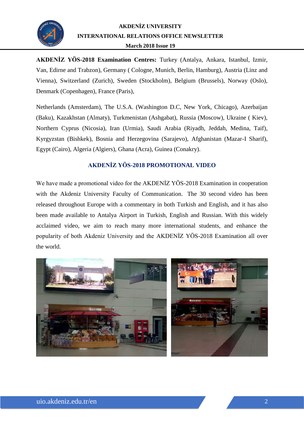

**AKDENİZ YÖS-2018 Examination Centres:** Turkey (Antalya, Ankara, Istanbul, Izmir, Van, Edirne and Trabzon), Germany ( Cologne, Munich, Berlin, Hamburg), Austria (Linz and Vienna), Switzerland (Zurich), Sweden (Stockholm), Belgium (Brussels), Norway (Oslo), Denmark (Copenhagen), France (Paris),

Netherlands (Amsterdam), The U.S.A. (Washington D.C, New York, Chicago), Azerbaijan (Baku), Kazakhstan (Almaty), Turkmenistan (Ashgabat), Russia (Moscow), Ukraine ( Kiev), Northern Cyprus (Nicosia), Iran (Urmia), Saudi Arabia (Riyadh, Jeddah, Medina, Taif), Kyrgyzstan (Bishkek), Bosnia and Herzegovina (Sarajevo), Afghanistan (Mazar-I Sharif), Egypt (Cairo), Algeria (Algiers), Ghana (Acra), Guinea (Conakry).

#### **AKDENİZ YÖS-2018 PROMOTIONAL VIDEO**

We have made a promotional video for the AKDENIZ YÖS-2018 Examination in cooperation with the Akdeniz University Faculty of Communication. The 30 second video has been released throughout Europe with a commentary in both Turkish and English, and it has also been made available to Antalya Airport in Turkish, English and Russian. With this widely acclaimed video, we aim to reach many more international students, and enhance the popularity of both Akdeniz University and the AKDENİZ YÖS-2018 Examination all over the world.

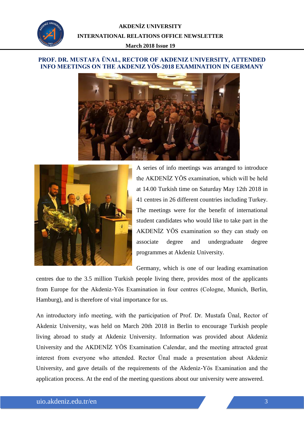

#### *TARİH* **INFO MEETINGS ON THE AKDENIZ YÖS-2018 EXAMINATION IN GERMANY PROF. DR. MUSTAFA ÜNAL, RECTOR OF AKDENIZ UNIVERSITY, ATTENDED**





A series of info meetings was arranged to introduce the AKDENİZ YÖS examination, which will be held at 14.00 Turkish time on Saturday May 12th 2018 in 41 centres in 26 different countries including Turkey. The meetings were for the benefit of international student candidates who would like to take part in the AKDENİZ YÖS examination so they can study on associate degree and undergraduate degree programmes at Akdeniz University.

Germany, which is one of our leading examination

centres due to the 3.5 million Turkish people living there, provides most of the applicants from Europe for the Akdeniz-Yös Examination in four centres (Cologne, Munich, Berlin, Hamburg), and is therefore of vital importance for us.

An introductory info meeting, with the participation of Prof. Dr. Mustafa Ünal, Rector of Akdeniz University, was held on March 20th 2018 in Berlin to encourage Turkish people living abroad to study at Akdeniz University. Information was provided about Akdeniz University and the AKDENİZ YÖS Examination Calendar, and the meeting attracted great interest from everyone who attended. Rector Ünal made a presentation about Akdeniz University, and gave details of the requirements of the Akdeniz-Yös Examination and the application process. At the end of the meeting questions about our university were answered.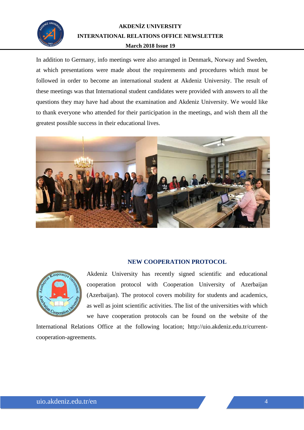

In addition to Germany, info meetings were also arranged in Denmark, Norway and Sweden, at which presentations were made about the requirements and procedures which must be followed in order to become an international student at Akdeniz University. The result of these meetings was that International student candidates were provided with answers to all the questions they may have had about the examination and Akdeniz University. We would like to thank everyone who attended for their participation in the meetings, and wish them all the greatest possible success in their educational lives.



#### **NEW COOPERATION PROTOCOL**



Akdeniz University has recently signed scientific and educational cooperation protocol with Cooperation University of Azerbaijan (Azerbaijan). The protocol covers mobility for students and academics, as well as joint scientific activities. The list of the universities with which we have cooperation protocols can be found on the website of the

International Relations Office at the following location; [http://uio.akdeniz.edu.tr/current](http://uio.akdeniz.edu.tr/current-cooperation-agreements)[cooperation-agreements.](http://uio.akdeniz.edu.tr/current-cooperation-agreements)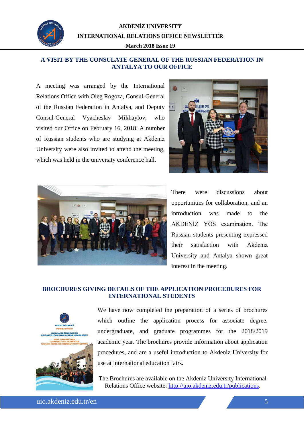

#### *TARİH* **ANTALYA TO OUR OFFICE A VISIT BY THE CONSULATE GENERAL OF THE RUSSIAN FEDERATION IN**

A meeting was arranged by the International Relations Office with Oleg Rogoza, Consul-General of the Russian Federation in Antalya, and Deputy Consul-General Vyacheslav Mikhaylov, who visited our Office on February 16, 2018. A number of Russian students who are studying at Akdeniz University were also invited to attend the meeting, which was held in the university conference hall.





There were discussions about opportunities for collaboration, and an introduction was made to the AKDENİZ YÖS examination. The Russian students presenting expressed their satisfaction with Akdeniz University and Antalya shown great interest in the meeting.

#### **BROCHURES GIVING DETAILS OF THE APPLICATION PROCEDURES FOR INTERNATIONAL STUDENTS**



We have now completed the preparation of a series of brochures which outline the application process for associate degree, undergraduate, and graduate programmes for the 2018/2019 academic year. The brochures provide information about application procedures, and are a useful introduction to Akdeniz University for use at international education fairs.

The Brochures are available on the Akdeniz University International Relations Office website: [http://uio.akdeniz.edu.tr/publications.](http://uio.akdeniz.edu.tr/publications)

uio.akdeniz.edu.tr/en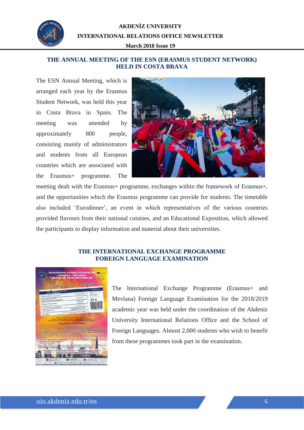

#### *TARİH* **HELD IN COSTA BRAVA THE ANNUAL MEETING OF THE ESN (ERASMUS STUDENT NETWORK)**

The ESN Annual Meeting, which is arranged each year by the Erasmus Student Network, was held this year in Costa Brava in Spain. The meeting was attended by approximately 800 people, consisting mainly of administrators and students from all European countries which are associated with the Erasmus+ programme. The



meeting dealt with the Erasmus+ programme, exchanges within the framework of Erasmus+, and the opportunities which the Erasmus programme can provide for students. The timetable also included 'Eurodinner', an event in which representatives of the various countries provided flavours from their national cuisines, and an Educational Exposition, which allowed the participants to display information and material about their universities.

#### **THE INTERNATIONAL EXCHANGE PROGRAMME FOREIGN LANGUAGE EXAMINATION**



The International Exchange Programme (Erasmus+ and Mevlana) Foreign Language Examination for the 2018/2019 academic year was held under the coordination of the Akdeniz University International Relations Office and the School of Foreign Languages. Almost 2,000 students who wish to benefit from these programmes took part in the examination.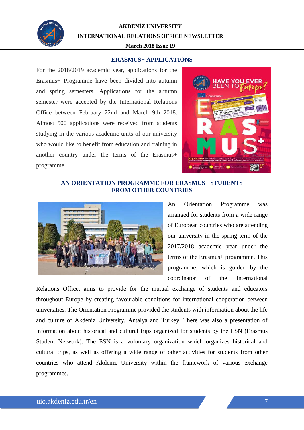

**AKDENİZ UNIVERSITY INTERNATIONAL RELATIONS OFFICE NEWSLETTER**

#### **March 2018 Issue 19**

#### **ERASMUS+ APPLICATIONS**

For the 2018/2019 academic year, applications for the Erasmus+ Programme have been divided into autumn and spring semesters. Applications for the autumn semester were accepted by the International Relations Office between February 22nd and March 9th 2018. Almost 500 applications were received from students studying in the various academic units of our university who would like to benefit from education and training in another country under the terms of the Erasmus+ programme.



#### **AN ORIENTATION PROGRAMME FOR ERASMUS+ STUDENTS FROM OTHER COUNTRIES**



An Orientation Programme was arranged for students from a wide range of European countries who are attending our university in the spring term of the 2017/2018 academic year under the terms of the Erasmus+ programme. This programme, which is guided by the coordinator of the International

Relations Office, aims to provide for the mutual exchange of students and educators throughout Europe by creating favourable conditions for international cooperation between universities. The Orientation Programme provided the students with information about the life and culture of Akdeniz University, Antalya and Turkey. There was also a presentation of information about historical and cultural trips organized for students by the ESN (Erasmus Student Network). The ESN is a voluntary organization which organizes historical and cultural trips, as well as offering a wide range of other activities for students from other countries who attend Akdeniz University within the framework of various exchange programmes.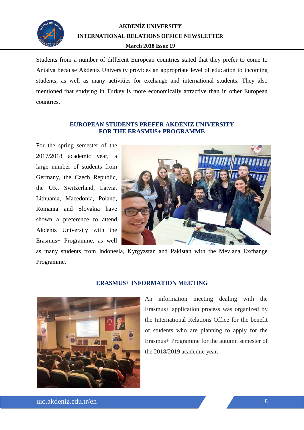

Students from a number of different European countries stated that they prefer to come to Antalya because Akdeniz University provides an appropriate level of education to incoming students, as well as many activities for exchange and international students. They also mentioned that studying in Turkey is more economically attractive than in other European countries.

#### **EUROPEAN STUDENTS PREFER AKDENIZ UNIVERSITY FOR THE ERASMUS+ PROGRAMME**

For the spring semester of the 2017/2018 academic year, a large number of students from Germany, the Czech Republic, the UK, Switzerland, Latvia, Lithuania, Macedonia, Poland, Romania and Slovakia have shown a preference to attend Akdeniz University with the Erasmus+ Programme, as well



as many students from Indonesia, Kyrgyzstan and Pakistan with the Mevlana Exchange Programme.



#### **ERASMUS+ INFORMATION MEETING**

An information meeting dealing with the Erasmus+ application process was organized by the International Relations Office for the benefit of students who are planning to apply for the Erasmus+ Programme for the autumn semester of the 2018/2019 academic year.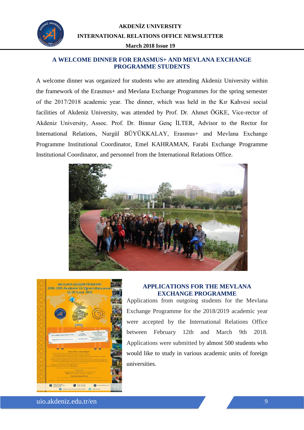

#### *TARİH* **PROGRAMME STUDENTS A WELCOME DINNER FOR ERASMUS+ AND MEVLANA EXCHANGE**

A welcome dinner was organized for students who are attending Akdeniz University within the framework of the Erasmus+ and Mevlana Exchange Programmes for the spring semester of the 2017/2018 academic year. The dinner, which was held in the Kır Kahvesi social facilities of Akdeniz University, was attended by Prof. Dr. Ahmet ÖGKE, Vice-rector of Akdeniz University, Assoc. Prof. Dr. Binnur Genç İLTER, Advisor to the Rector for International Relations, Nurgül BÜYÜKKALAY, Erasmus+ and Mevlana Exchange Programme Institutional Coordinator, Emel KAHRAMAN, Farabi Exchange Programme Institutional Coordinator, and personnel from the International Relations Office.





#### **APPLICATIONS FOR THE MEVLANA EXCHANGE PROGRAMME**

Applications from outgoing students for the Mevlana Exchange Programme for the 2018/2019 academic year were accepted by the International Relations Office between February 12th and March 9th 2018. Applications were submitted by almost 500 students who would like to study in various academic units of foreign universities.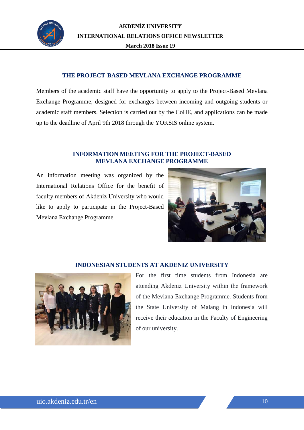

#### **THE PROJECT-BASED MEVLANA EXCHANGE PROGRAMME**

Members of the academic staff have the opportunity to apply to the Project-Based Mevlana Exchange Programme, designed for exchanges between incoming and outgoing students or academic staff members. Selection is carried out by the CoHE, and applications can be made up to the deadline of April 9th 2018 through the YOKSIS online system.

#### **INFORMATION MEETING FOR THE PROJECT-BASED MEVLANA EXCHANGE PROGRAMME**

An information meeting was organized by the International Relations Office for the benefit of faculty members of Akdeniz University who would like to apply to participate in the Project-Based Mevlana Exchange Programme.



#### **INDONESIAN STUDENTS AT AKDENIZ UNIVERSITY**



For the first time students from Indonesia are attending Akdeniz University within the framework of the Mevlana Exchange Programme. Students from the State University of Malang in Indonesia will receive their education in the Faculty of Engineering of our university.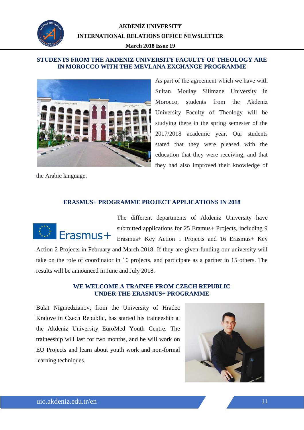

#### **IN MOROCCO WITH THE MEVLANA EXCHANGE PROGRAMME STUDENTS FROM THE AKDENIZ UNIVERSITY FACULTY OF THEOLOGY ARE**



the Arabic language.

As part of the agreement which we have with Sultan Moulay Silimane University in Morocco, students from the Akdeniz University Faculty of Theology will be studying there in the spring semester of the 2017/2018 academic year. Our students stated that they were pleased with the education that they were receiving, and that they had also improved their knowledge of

#### **ERASMUS+ PROGRAMME PROJECT APPLICATIONS IN 2018**



The different departments of Akdeniz University have submitted applications for 25 Eramus+ Projects, including 9 Erasmus+ Key Action 1 Projects and 16 Erasmus+ Key Action 2 Projects in February and March 2018. If they are given funding our university will take on the role of coordinator in 10 projects, and participate as a partner in 15 others. The

#### **WE WELCOME A TRAINEE FROM CZECH REPUBLIC UNDER THE ERASMUS+ PROGRAMME**

Bulat Nigmedzianov, from the University of Hradec Kralove in Czech Republic, has started his traineeship at the Akdeniz University EuroMed Youth Centre. The traineeship will last for two months, and he will work on EU Projects and learn about youth work and non-formal learning techniques.

results will be announced in June and July 2018.